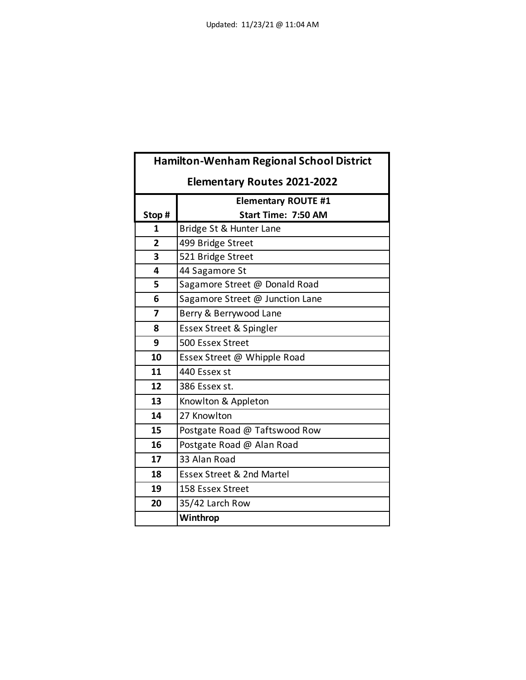| <b>Hamilton-Wenham Regional School District</b> |                                      |
|-------------------------------------------------|--------------------------------------|
| <b>Elementary Routes 2021-2022</b>              |                                      |
|                                                 | <b>Elementary ROUTE #1</b>           |
| Stop #                                          | <b>Start Time: 7:50 AM</b>           |
| 1                                               | Bridge St & Hunter Lane              |
| $\overline{2}$                                  | 499 Bridge Street                    |
| 3                                               | 521 Bridge Street                    |
| 4                                               | 44 Sagamore St                       |
| 5                                               | Sagamore Street @ Donald Road        |
| 6                                               | Sagamore Street @ Junction Lane      |
| 7                                               | Berry & Berrywood Lane               |
| 8                                               | Essex Street & Spingler              |
| 9                                               | 500 Essex Street                     |
| 10                                              | Essex Street @ Whipple Road          |
| 11                                              | 440 Essex st                         |
| 12                                              | 386 Essex st.                        |
| 13                                              | Knowlton & Appleton                  |
| 14                                              | 27 Knowlton                          |
| 15                                              | Postgate Road @ Taftswood Row        |
| 16                                              | Postgate Road @ Alan Road            |
| 17                                              | 33 Alan Road                         |
| 18                                              | <b>Essex Street &amp; 2nd Martel</b> |
| 19                                              | 158 Essex Street                     |
| 20                                              | 35/42 Larch Row                      |
|                                                 | Winthrop                             |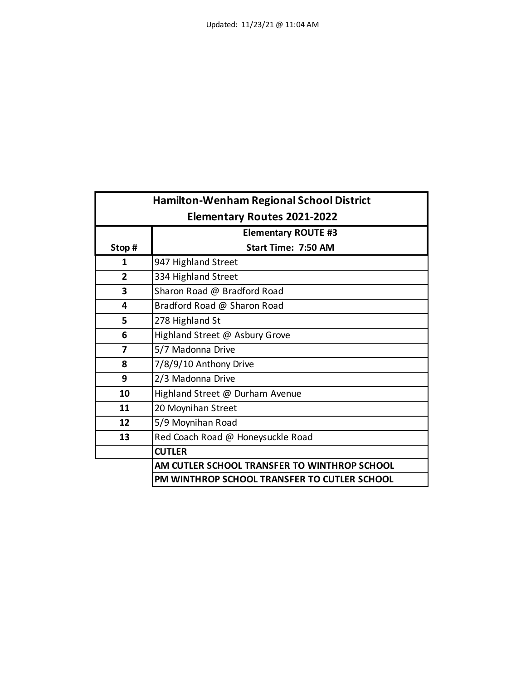| <b>Hamilton-Wenham Regional School District</b> |                                              |
|-------------------------------------------------|----------------------------------------------|
|                                                 | <b>Elementary Routes 2021-2022</b>           |
|                                                 | <b>Elementary ROUTE #3</b>                   |
| Stop#                                           | <b>Start Time: 7:50 AM</b>                   |
| 1                                               | 947 Highland Street                          |
| $\overline{2}$                                  | 334 Highland Street                          |
| 3                                               | Sharon Road @ Bradford Road                  |
| 4                                               | Bradford Road @ Sharon Road                  |
| 5                                               | 278 Highland St                              |
| 6                                               | Highland Street @ Asbury Grove               |
| 7                                               | 5/7 Madonna Drive                            |
| 8                                               | 7/8/9/10 Anthony Drive                       |
| 9                                               | 2/3 Madonna Drive                            |
| 10                                              | Highland Street @ Durham Avenue              |
| 11                                              | 20 Moynihan Street                           |
| 12                                              | 5/9 Moynihan Road                            |
| 13                                              | Red Coach Road @ Honeysuckle Road            |
|                                                 | <b>CUTLER</b>                                |
|                                                 | AM CUTLER SCHOOL TRANSFER TO WINTHROP SCHOOL |
|                                                 | PM WINTHROP SCHOOL TRANSFER TO CUTLER SCHOOL |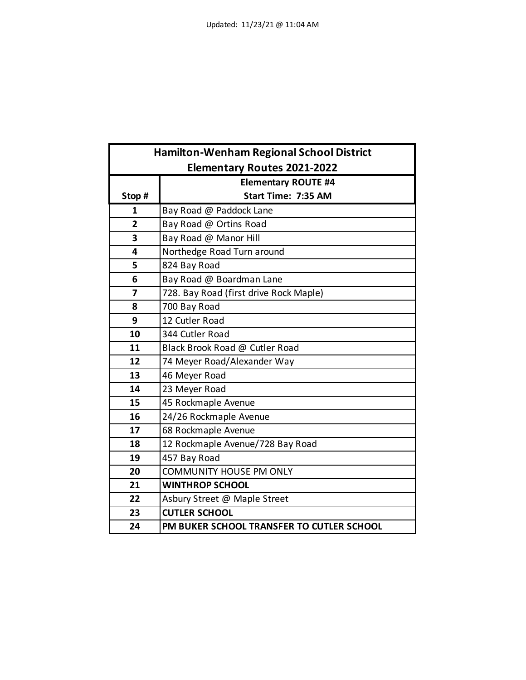| <b>Hamilton-Wenham Regional School District</b> |                                           |
|-------------------------------------------------|-------------------------------------------|
|                                                 | <b>Elementary Routes 2021-2022</b>        |
|                                                 | <b>Elementary ROUTE #4</b>                |
| Stop#                                           | Start Time: 7:35 AM                       |
| 1                                               | Bay Road @ Paddock Lane                   |
| 2                                               | Bay Road @ Ortins Road                    |
| 3                                               | Bay Road @ Manor Hill                     |
| 4                                               | Northedge Road Turn around                |
| 5                                               | 824 Bay Road                              |
| 6                                               | Bay Road @ Boardman Lane                  |
| 7                                               | 728. Bay Road (first drive Rock Maple)    |
| 8                                               | 700 Bay Road                              |
| 9                                               | 12 Cutler Road                            |
| 10                                              | 344 Cutler Road                           |
| 11                                              | Black Brook Road @ Cutler Road            |
| 12                                              | 74 Meyer Road/Alexander Way               |
| 13                                              | 46 Meyer Road                             |
| 14                                              | 23 Meyer Road                             |
| 15                                              | 45 Rockmaple Avenue                       |
| 16                                              | 24/26 Rockmaple Avenue                    |
| 17                                              | 68 Rockmaple Avenue                       |
| 18                                              | 12 Rockmaple Avenue/728 Bay Road          |
| 19                                              | 457 Bay Road                              |
| 20                                              | <b>COMMUNITY HOUSE PM ONLY</b>            |
| 21                                              | <b>WINTHROP SCHOOL</b>                    |
| 22                                              | Asbury Street @ Maple Street              |
| 23                                              | <b>CUTLER SCHOOL</b>                      |
| 24                                              | PM BUKER SCHOOL TRANSFER TO CUTLER SCHOOL |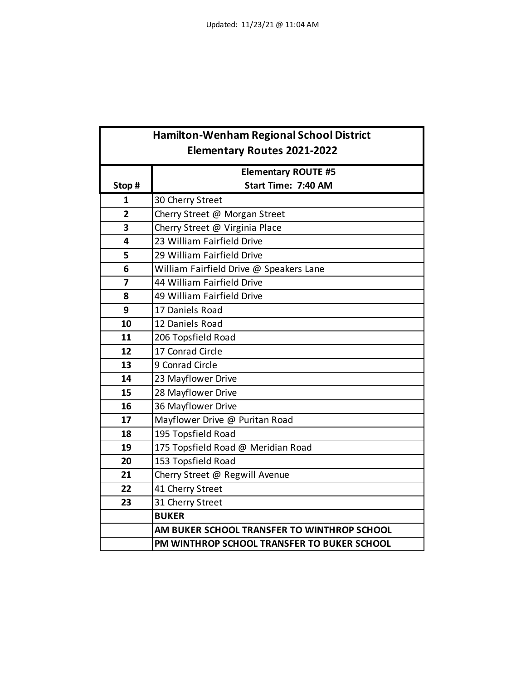| <b>Hamilton-Wenham Regional School District</b> |                                             |
|-------------------------------------------------|---------------------------------------------|
|                                                 | <b>Elementary Routes 2021-2022</b>          |
|                                                 | <b>Elementary ROUTE #5</b>                  |
| Stop #                                          | Start Time: 7:40 AM                         |
| 1                                               | 30 Cherry Street                            |
| $\overline{2}$                                  | Cherry Street @ Morgan Street               |
| 3                                               | Cherry Street @ Virginia Place              |
| 4                                               | 23 William Fairfield Drive                  |
| 5                                               | 29 William Fairfield Drive                  |
| 6                                               | William Fairfield Drive @ Speakers Lane     |
| $\overline{\mathbf{z}}$                         | 44 William Fairfield Drive                  |
| 8                                               | 49 William Fairfield Drive                  |
| 9                                               | 17 Daniels Road                             |
| 10                                              | 12 Daniels Road                             |
| 11                                              | 206 Topsfield Road                          |
| 12                                              | 17 Conrad Circle                            |
| 13                                              | 9 Conrad Circle                             |
| 14                                              | 23 Mayflower Drive                          |
| 15                                              | 28 Mayflower Drive                          |
| 16                                              | 36 Mayflower Drive                          |
| 17                                              | Mayflower Drive @ Puritan Road              |
| 18                                              | 195 Topsfield Road                          |
| 19                                              | 175 Topsfield Road @ Meridian Road          |
| 20                                              | 153 Topsfield Road                          |
| 21                                              | Cherry Street @ Regwill Avenue              |
| 22                                              | 41 Cherry Street                            |
| 23                                              | 31 Cherry Street                            |
|                                                 | <b>BUKER</b>                                |
|                                                 | AM BUKER SCHOOL TRANSFER TO WINTHROP SCHOOL |
|                                                 | PM WINTHROP SCHOOL TRANSFER TO BUKER SCHOOL |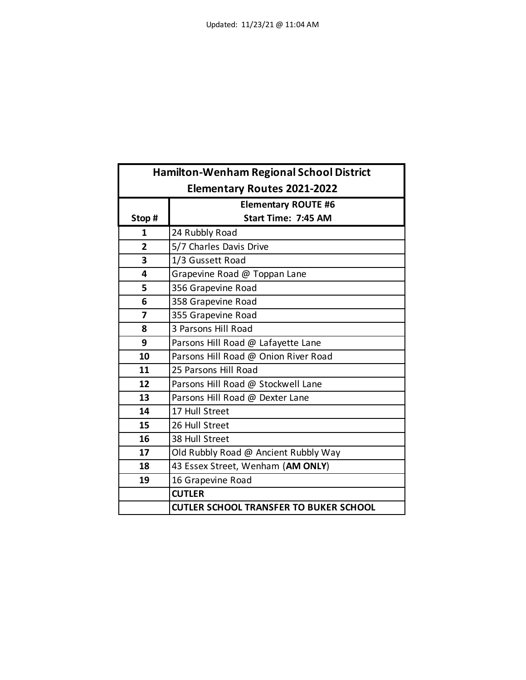| <b>Hamilton-Wenham Regional School District</b> |                                               |
|-------------------------------------------------|-----------------------------------------------|
| <b>Elementary Routes 2021-2022</b>              |                                               |
| <b>Elementary ROUTE #6</b>                      |                                               |
| Stop #                                          | Start Time: 7:45 AM                           |
| 1                                               | 24 Rubbly Road                                |
| $\overline{2}$                                  | 5/7 Charles Davis Drive                       |
| 3                                               | 1/3 Gussett Road                              |
| 4                                               | Grapevine Road @ Toppan Lane                  |
| 5                                               | 356 Grapevine Road                            |
| 6                                               | 358 Grapevine Road                            |
| 7                                               | 355 Grapevine Road                            |
| 8                                               | 3 Parsons Hill Road                           |
| 9                                               | Parsons Hill Road @ Lafayette Lane            |
| 10                                              | Parsons Hill Road @ Onion River Road          |
| 11                                              | 25 Parsons Hill Road                          |
| 12                                              | Parsons Hill Road @ Stockwell Lane            |
| 13                                              | Parsons Hill Road @ Dexter Lane               |
| 14                                              | 17 Hull Street                                |
| 15                                              | 26 Hull Street                                |
| 16                                              | 38 Hull Street                                |
| 17                                              | Old Rubbly Road @ Ancient Rubbly Way          |
| 18                                              | 43 Essex Street, Wenham (AM ONLY)             |
| 19                                              | 16 Grapevine Road                             |
|                                                 | <b>CUTLER</b>                                 |
|                                                 | <b>CUTLER SCHOOL TRANSFER TO BUKER SCHOOL</b> |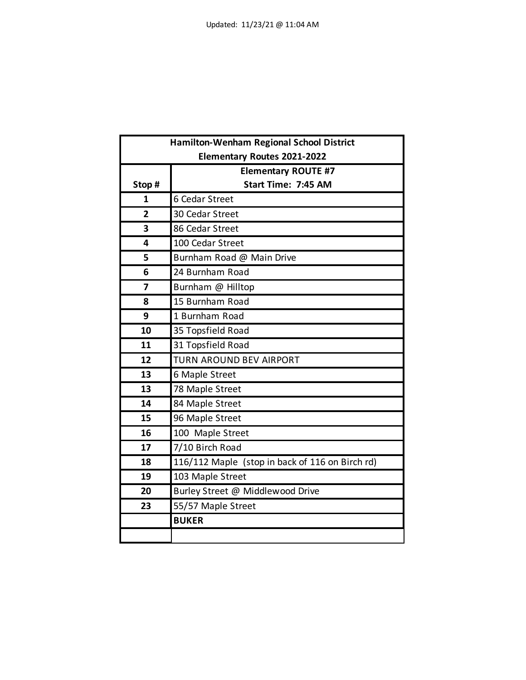| <b>Hamilton-Wenham Regional School District</b> |                                                 |
|-------------------------------------------------|-------------------------------------------------|
| <b>Elementary Routes 2021-2022</b>              |                                                 |
|                                                 | <b>Elementary ROUTE #7</b>                      |
| Stop#                                           | Start Time: 7:45 AM                             |
| 1                                               | 6 Cedar Street                                  |
| $\overline{2}$                                  | 30 Cedar Street                                 |
| 3                                               | 86 Cedar Street                                 |
| 4                                               | 100 Cedar Street                                |
| 5                                               | Burnham Road @ Main Drive                       |
| 6                                               | 24 Burnham Road                                 |
| 7                                               | Burnham @ Hilltop                               |
| 8                                               | 15 Burnham Road                                 |
| 9                                               | 1 Burnham Road                                  |
| 10                                              | 35 Topsfield Road                               |
| 11                                              | 31 Topsfield Road                               |
| 12                                              | <b>TURN AROUND BEV AIRPORT</b>                  |
| 13                                              | 6 Maple Street                                  |
| 13                                              | 78 Maple Street                                 |
| 14                                              | 84 Maple Street                                 |
| 15                                              | 96 Maple Street                                 |
| 16                                              | 100 Maple Street                                |
| 17                                              | 7/10 Birch Road                                 |
| 18                                              | 116/112 Maple (stop in back of 116 on Birch rd) |
| 19                                              | 103 Maple Street                                |
| 20                                              | Burley Street @ Middlewood Drive                |
| 23                                              | 55/57 Maple Street                              |
|                                                 | <b>BUKER</b>                                    |
|                                                 |                                                 |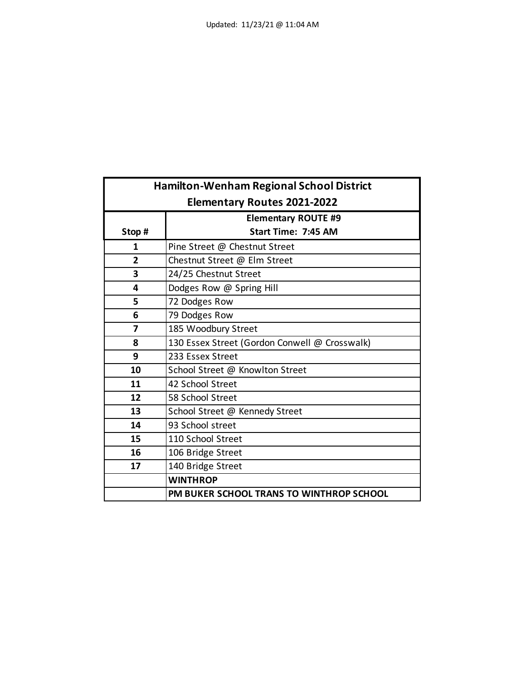| <b>Hamilton-Wenham Regional School District</b> |                                               |
|-------------------------------------------------|-----------------------------------------------|
| <b>Elementary Routes 2021-2022</b>              |                                               |
| <b>Elementary ROUTE #9</b>                      |                                               |
| Stop#                                           | <b>Start Time: 7:45 AM</b>                    |
| 1                                               | Pine Street @ Chestnut Street                 |
| $\overline{2}$                                  | Chestnut Street @ Elm Street                  |
| 3                                               | 24/25 Chestnut Street                         |
| 4                                               | Dodges Row @ Spring Hill                      |
| 5                                               | 72 Dodges Row                                 |
| 6                                               | 79 Dodges Row                                 |
| 7                                               | 185 Woodbury Street                           |
| 8                                               | 130 Essex Street (Gordon Conwell @ Crosswalk) |
| 9                                               | 233 Essex Street                              |
| 10                                              | School Street @ Knowlton Street               |
| 11                                              | 42 School Street                              |
| 12                                              | 58 School Street                              |
| 13                                              | School Street @ Kennedy Street                |
| 14                                              | 93 School street                              |
| 15                                              | 110 School Street                             |
| 16                                              | 106 Bridge Street                             |
| 17                                              | 140 Bridge Street                             |
|                                                 | <b>WINTHROP</b>                               |
|                                                 | PM BUKER SCHOOL TRANS TO WINTHROP SCHOOL      |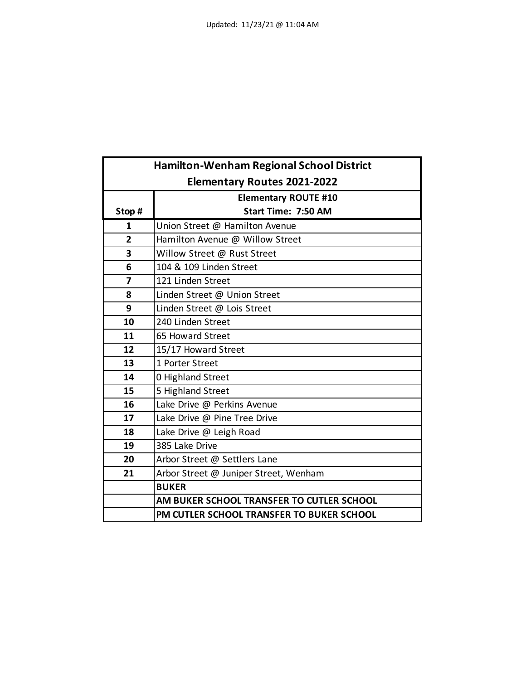| <b>Hamilton-Wenham Regional School District</b> |                                           |
|-------------------------------------------------|-------------------------------------------|
| <b>Elementary Routes 2021-2022</b>              |                                           |
|                                                 | <b>Elementary ROUTE #10</b>               |
| Stop #                                          | Start Time: 7:50 AM                       |
| 1                                               | Union Street @ Hamilton Avenue            |
| $\overline{2}$                                  | Hamilton Avenue @ Willow Street           |
| 3                                               | Willow Street @ Rust Street               |
| 6                                               | 104 & 109 Linden Street                   |
| $\overline{7}$                                  | 121 Linden Street                         |
| 8                                               | Linden Street @ Union Street              |
| 9                                               | Linden Street @ Lois Street               |
| 10                                              | 240 Linden Street                         |
| 11                                              | 65 Howard Street                          |
| 12                                              | 15/17 Howard Street                       |
| 13                                              | 1 Porter Street                           |
| 14                                              | 0 Highland Street                         |
| 15                                              | 5 Highland Street                         |
| 16                                              | Lake Drive @ Perkins Avenue               |
| 17                                              | Lake Drive @ Pine Tree Drive              |
| 18                                              | Lake Drive @ Leigh Road                   |
| 19                                              | 385 Lake Drive                            |
| 20                                              | Arbor Street @ Settlers Lane              |
| 21                                              | Arbor Street @ Juniper Street, Wenham     |
|                                                 | <b>BUKER</b>                              |
|                                                 | AM BUKER SCHOOL TRANSFER TO CUTLER SCHOOL |
|                                                 | PM CUTLER SCHOOL TRANSFER TO BUKER SCHOOL |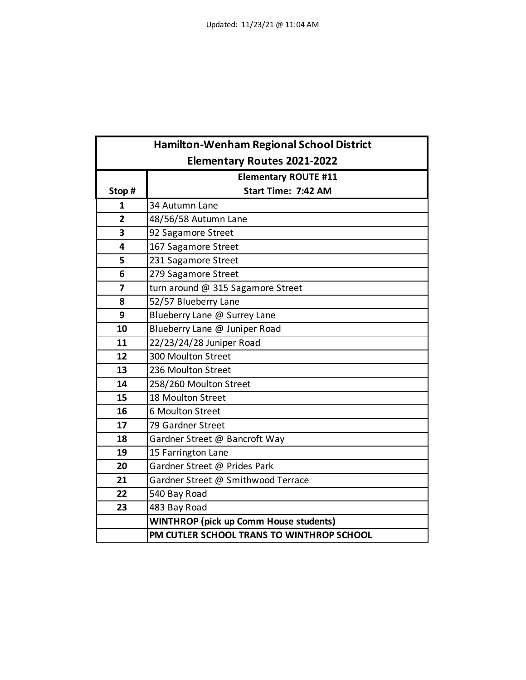| <b>Hamilton-Wenham Regional School District</b> |                                               |
|-------------------------------------------------|-----------------------------------------------|
|                                                 | <b>Elementary Routes 2021-2022</b>            |
|                                                 | <b>Elementary ROUTE #11</b>                   |
| Stop#                                           | Start Time: 7:42 AM                           |
| 1                                               | 34 Autumn Lane                                |
| $\overline{2}$                                  | 48/56/58 Autumn Lane                          |
| 3                                               | 92 Sagamore Street                            |
| 4                                               | 167 Sagamore Street                           |
| 5                                               | 231 Sagamore Street                           |
| 6                                               | 279 Sagamore Street                           |
| $\overline{7}$                                  | turn around @ 315 Sagamore Street             |
| 8                                               | 52/57 Blueberry Lane                          |
| 9                                               | Blueberry Lane @ Surrey Lane                  |
| 10                                              | Blueberry Lane @ Juniper Road                 |
| 11                                              | 22/23/24/28 Juniper Road                      |
| 12                                              | 300 Moulton Street                            |
| 13                                              | 236 Moulton Street                            |
| 14                                              | 258/260 Moulton Street                        |
| 15                                              | 18 Moulton Street                             |
| 16                                              | 6 Moulton Street                              |
| 17                                              | 79 Gardner Street                             |
| 18                                              | Gardner Street @ Bancroft Way                 |
| 19                                              | 15 Farrington Lane                            |
| 20                                              | Gardner Street @ Prides Park                  |
| 21                                              | Gardner Street @ Smithwood Terrace            |
| 22                                              | 540 Bay Road                                  |
| 23                                              | 483 Bay Road                                  |
|                                                 | <b>WINTHROP (pick up Comm House students)</b> |
|                                                 | PM CUTLER SCHOOL TRANS TO WINTHROP SCHOOL     |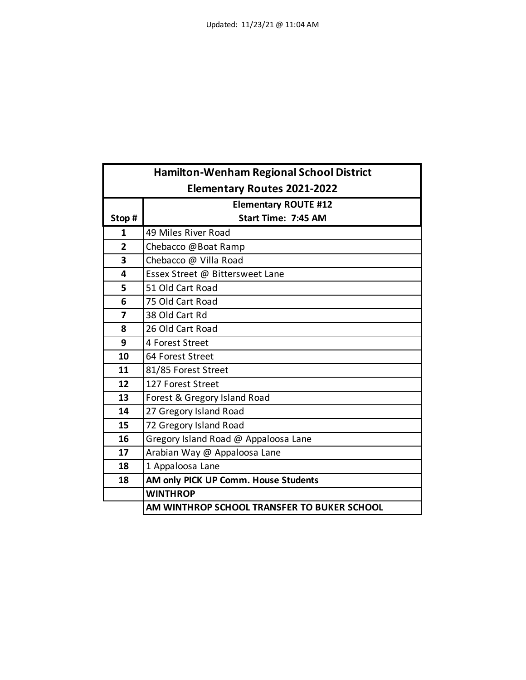|                         | <b>Hamilton-Wenham Regional School District</b> |
|-------------------------|-------------------------------------------------|
|                         | <b>Elementary Routes 2021-2022</b>              |
|                         | <b>Elementary ROUTE #12</b>                     |
| Stop #                  | Start Time: 7:45 AM                             |
| 1                       | 49 Miles River Road                             |
| $\overline{2}$          | Chebacco @Boat Ramp                             |
| 3                       | Chebacco @ Villa Road                           |
| 4                       | Essex Street @ Bittersweet Lane                 |
| 5                       | 51 Old Cart Road                                |
| 6                       | 75 Old Cart Road                                |
| $\overline{\mathbf{z}}$ | 38 Old Cart Rd                                  |
| 8                       | 26 Old Cart Road                                |
| 9                       | 4 Forest Street                                 |
| 10                      | 64 Forest Street                                |
| 11                      | 81/85 Forest Street                             |
| 12                      | 127 Forest Street                               |
| 13                      | Forest & Gregory Island Road                    |
| 14                      | 27 Gregory Island Road                          |
| 15                      | 72 Gregory Island Road                          |
| 16                      | Gregory Island Road @ Appaloosa Lane            |
| 17                      | Arabian Way @ Appaloosa Lane                    |
| 18                      | 1 Appaloosa Lane                                |
| 18                      | AM only PICK UP Comm. House Students            |
|                         | <b>WINTHROP</b>                                 |
|                         | AM WINTHROP SCHOOL TRANSFER TO BUKER SCHOOL     |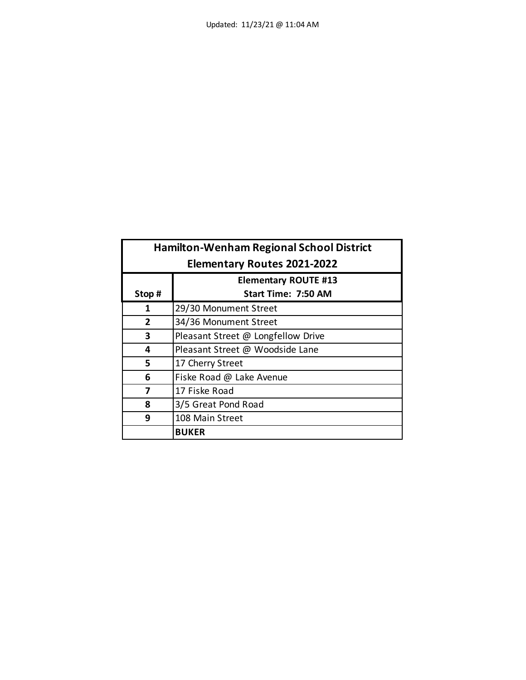| <b>Hamilton-Wenham Regional School District</b> |                                    |
|-------------------------------------------------|------------------------------------|
| <b>Elementary Routes 2021-2022</b>              |                                    |
|                                                 | <b>Elementary ROUTE #13</b>        |
| Stop#                                           | Start Time: 7:50 AM                |
| 1                                               | 29/30 Monument Street              |
| $\overline{2}$                                  | 34/36 Monument Street              |
| 3                                               | Pleasant Street @ Longfellow Drive |
| 4                                               | Pleasant Street @ Woodside Lane    |
| 5                                               | 17 Cherry Street                   |
| 6                                               | Fiske Road @ Lake Avenue           |
| 7                                               | 17 Fiske Road                      |
| 8                                               | 3/5 Great Pond Road                |
| 9                                               | 108 Main Street                    |
|                                                 | <b>BUKER</b>                       |